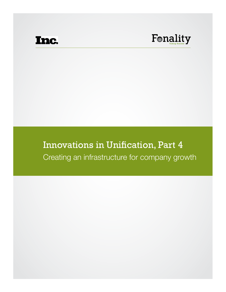

## Innovations in Unification, Part 4 Creating an infrastructure for company growth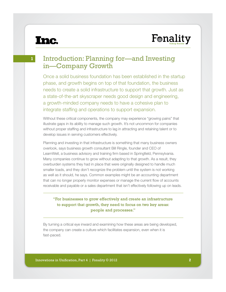#### **1**

### Introduction: Planning for—and Investing in—Company Growth

Once a solid business foundation has been established in the startup phase, and growth begins on top of that foundation, the business needs to create a solid infrastructure to support that growth. Just as a state-of-the-art skyscraper needs good design and engineering, a growth-minded company needs to have a cohesive plan to integrate staffing and operations to support expansion.

Without these critical components, the company may experience "growing pains" that illustrate gaps in its ability to manage such growth. It's not uncommon for companies without proper staffing and infrastructure to lag in attracting and retaining talent or to develop issues in serving customers effectively.

Planning and investing in that infrastructure is something that many business owners overlook, says business growth consultant Bill Ringle, founder and CEO of LearnWell, a business advisory and training firm based in Springfield, Pennsylvania. Many companies continue to grow without adapting to that growth. As a result, they overburden systems they had in place that were originally designed to handle much smaller loads, and they don't recognize the problem until the system is not working as well as it should, he says. Common examples might be an accounting department that can no longer properly monitor expenses or manage the current flow of accounts receivable and payable or a sales department that isn't effectively following up on leads.

#### "For businesses to grow effectively and create an infrastructure to support that growth, they need to focus on two key areas: people and processes."

By turning a critical eye inward and examining how these areas are being developed, the company can create a culture which facilitates expansion, even when it is fast-paced.

Innovations in Unification, Part 4 | Fonality © 2012 **2**

Fonality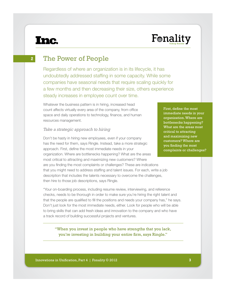**2**

## Fonality

The Power of People

Regardless of where an organization is in its lifecycle, it has undoubtedly addressed staffing in some capacity. While some companies have seasonal needs that require scaling quickly for a few months and then decreasing their size, others experience steady increases in employee count over time.

Whatever the business pattern is in hiring, increased head count affects virtually every area of the company, from office space and daily operations to technology, finance, and human resources management.

#### *Take a strategic approach to hiring*

Don't be hasty in hiring new employees, even if your company has the need for them, says Ringle. Instead, take a more strategic approach. First, define the most immediate needs in your organization. Where are bottlenecks happening? What are the areas most critical to attracting and maximizing new customers? Where are you finding the most complaints or challenges? These are indications that you might need to address staffing and talent issues. For each, write a job description that includes the talents necessary to overcome the challenges, then hire to those job descriptions, says Ringle.

"Your on-boarding process, including resume review, interviewing, and reference checks, needs to be thorough in order to make sure you're hiring the right talent and that the people are qualified to fill the positions and needs your company has," he says. Don't just look for the most immediate needs, either. Look for people who will be able to bring skills that can add fresh ideas and innovation to the company and who have a track record of building successful projects and ventures.

"When you invest in people who have strengths that you lack, you're investing in building your entire firm, says Ringle."

First, define the most immediate needs in your organization. Where are bottlenecks happening? What are the areas most critical to attracting and maximizing new customers? Where are you finding the most complaints or challenges?

Innovations in Unification, Part 4 | Fonality © 2012 **3**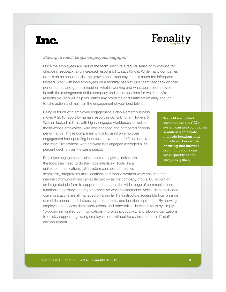## Fonality

#### *Staying in touch keeps employees engaged*

Once the employees are part of the team, institute a regular series of milestones for check-in, feedback, and increased responsibility, says Ringle. While many companies do this on an annual basis, the growth consultant says that is much too infrequent. Instead, work with new employees on a monthly basis to give them feedback on their performance, and get their input on what is working and what could be improved in both the management of the company and in the positions for which they're responsible. This will help you catch any problems or dissatisfaction early enough to take action and maintain the engagement of your best talent.

Being in touch with employee engagement is also a smart business move. A 2010 report by human resources consulting firm Towers & Watson looked at firms with highly engaged workforces as well as those whose employees were less engaged and compared financial performance. Those companies which focused on employee engagement had operating income improvement of 19 percent over one year. Firms whose workers were less engaged averaged a 33 percent decline over the same period.

Employee engagement is also secured by giving individuals the tools they need to do their jobs effectively. Tools like a unified communications (UC) system can help companies

seamlessly integrate multiple locations and mobile workers while ensuring that internal communications can scale quickly as the company grows. UC is built on an integrated platform to support and enhance the wide range of communications functions necessary in today's competitive work environments. Voice, data, and video communications are all managed on a single IT infrastructure accessible from a range of mobile phones and devices, laptops, tablets, and in-office equipment. By allowing employees to access data, applications, and other critical business tools by simply "plugging in," unified communications improves productivity and allows organizations to quickly support a growing employee base without heavy investment in IT staff and equipment.

Tools like a unified communications (UC) system can help companies seamlessly integrate multiple locations and mobile workers while ensuring that internal communications can scale quickly as the company grows.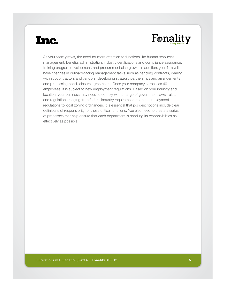# Fonality

As your team grows, the need for more attention to functions like human resources management, benefits administration, industry certifications and compliance assurance, training program development, and procurement also grows. In addition, your firm will have changes in outward-facing management tasks such as handling contracts, dealing with subcontractors and vendors, developing strategic partnerships and arrangements and processing nondisclosure agreements. Once your company surpasses 49 employees, it is subject to new employment regulations. Based on your industry and location, your business may need to comply with a range of government laws, rules, and regulations ranging from federal industry requirements to state employment regulations to local zoning ordinances. It is essential that job descriptions include clear definitions of responsibility for these critical functions. You also need to create a series of processes that help ensure that each department is handling its responsibilities as effectively as possible.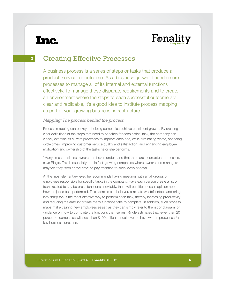## Fonality

**3**

### Creating Effective Processes

A business process is a series of steps or tasks that produce a product, service, or outcome. As a business grows, it needs more processes to manage all of its internal and external functions effectively. To manage those disparate requirements and to create an environment where the steps to each successful outcome are clear and replicable, it's a good idea to institute process mapping as part of your growing business' infrastructure.

#### *Mapping: The process behind the process*

Process mapping can be key to helping companies achieve consistent growth. By creating clear definitions of the steps that need to be taken for each critical task, the company can closely examine its current processes to improve each one, while eliminating waste, speeding cycle times, improving customer service quality and satisfaction, and enhancing employee motivation and ownership of the tasks he or she performs.

"Many times, business owners don't even understand that there are inconsistent processes," says Ringle. This is especially true in fast-growing companies where owners and managers may feel they "don't have time" to pay attention to such levels of detail.

At the most elementary level, he recommends having meetings with small groups of employees responsible for specific tasks in the company. Have each person create a list of tasks related to key business functions. Inevitably, there will be differences in opinion about how the job is best performed. This exercise can help you eliminate wasteful steps and bring into sharp focus the most effective way to perform each task, thereby increasing productivity and reducing the amount of time many functions take to complete. In addition, such process maps make training new employees easier, as they can simply refer to the list or diagram for guidance on how to complete the functions themselves. Ringle estimates that fewer than 20 percent of companies with less than \$100 million annual revenue have written processes for key business functions.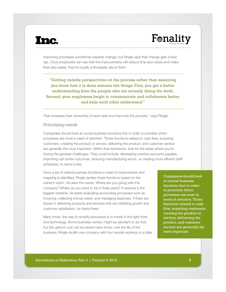# Fonality

Improving processes sometimes requires change, but Ringle says that change gets a bad rap. Once employees can see that the improvements will reduce time and waste and make their jobs easier, they're usually enthusiastic about them.

"Getting outside perspectives on the process rather than assuming you know how it is done ensures two things: First, you get a better understanding from the people who are actually doing the work. Second, your employees begin to communicate and collaborate better and help each other understand."

That increases their ownership of each task and improves the process," says Ringle.

#### *Prioritizing needs*

Companies should look at crucial business functions first in order to prioritize which processes are most in need of attention. Those functions related to cash flow, acquiring customers, creating the product or service, delivering the product, and customer service are generally the most important. Within that framework, look for the areas where you're having the greatest challenges. They could include: decreasing overdue accounts payable, improving call center outcomes, reducing manufacturing errors, or creating more efficient staff schedules, to name a few.

Once a list of critical business functions in need of improvement and mapping is identified, Ringle tackles these functions based on the owner's vision. He asks the owner: Where are you going with this company? Where do you want to be in three years? If revenue is the biggest obstacle, he starts evaluating accounting processes such as invoicing, collecting money owed, and managing expenses. If there are issues in delivering products and services that are inhibiting growth and customer satisfaction, he starts there.

Many times, the way to simplify processes is to invest in the right tools and technology. Some business owners might be reluctant to do that, but the upfront cost can be saved many times, over the life of the business. Ringle recalls one company with four people working on a data

Companies should look at crucial business functions first in order to prioritize which processes are most in need of attention. Those functions related to cash flow, acquiring customers, creating the product or service, delivering the product, and customer service are generally the most important.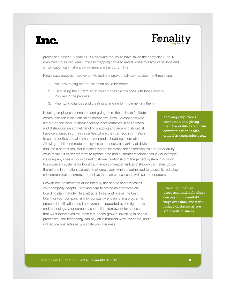# Fonality

processing project. A simple \$150 software tool could have saved the company 10 to 15 employee hours per week. Process mapping can also reveal where this type of savings and simplification can make a big difference in the bottom line.

Ringle says process improvement to facilitate growth really comes down to three steps:

- 1. Acknowledging that the situation could be better.
- 2. Discussing the current situation and possible changes with those directly involved in the process.
- 3. Prioritizing changes and creating a timeline for implementing them.

Keeping employees connected and giving them the ability to facilitate communication is also critical as companies grow. Salespeople who are out on the road, customer service representatives in call centers, and distribution personnel handling shipping and receiving should all have centralized information centers where they can add information to customer files and also share order and scheduling information. Allowing mobile or remote employees to connect via a variety of devices

and into a centralized, cloud-based system increases their effectiveness and productivity while making it easier for them to update data and customer feedback easily. For example, if a company uses a cloud-based customer relationship management system in addition to proprietary systems for logistics, inventory management, and shipping, it makes up-tothe-minute information available to all employees who are authorized to access it, reducing miscommunication, errors, and delays that can cause issues with customer orders.

Growth can be facilitated or inhibited by the people and processes your company adopts. By taking care to create an employee onboarding plan that identifies, attracts, hires, and retains the best talent for your company and by constantly engaging in a program of process identification and improvement, supported by the right tools and technology, your company can build a framework for success that will support even the most fast-paced growth. Investing in people, processes, and technology can pay off in manifold ways over time, and it will reduce obstacles as you scale your business.

Keeping employees connected and giving them the ability to facilitate communication is also critical as companies grow.

Investing in people, processes, and technology can pay off in manifold ways over time, and it will reduce obstacles as you scale your business.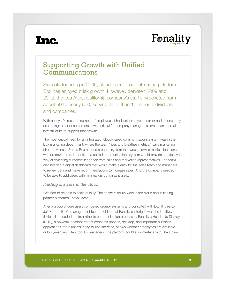

### Supporting Growth with Unified Communications

Since its founding in 2005, cloud-based content-sharing platform Box has enjoyed brisk growth. However, between 2009 and 2012, the Los Altos, California company's staff skyrocketed from about 50 to nearly 500, serving more than 10 million individuals and companies.

With nearly 10 times the number of employees it had just three years earlier and a constantly expanding roster of customers, it was critical for company managers to create an internal infrastructure to support that growth.

Institute these these for an imaginately, sided because commented and present these in the<br>Box marketing department, where the team "lives and breathes metrics," says marketing<br>director Menaka Shroff. Box needed a phone sy with no down-time. In addition, a unified communications system would provide an effective<br>way of collecting customer feedback from sales and marketing representatives. The team The most critical need for an integrated, cloud-based communications system was in the director Menaka Shroff. Box needed a phone system that would service multiple locations with no down-time. In addition, a unified communications system would provide an effective also needed a digital dashboard that would make it easy for the sales team and managers to review data and make recommendations to increase sales. And the company needed to be able to add users with minimal disruption as it grew.

#### *Finding answers in the cloud.*

"We had to be able to scale quickly. The answers for us were in the cloud and in finding partner platforms," says Shroff.

After a group of core users compared several systems and consulted with Box IT director Jeff Sutton, Box's management team decided that Fonality's interface was the intuitive, flexible fit it needed to streamline its communication processes. Fonality's Heads-Up Display (HUD), a powerful dashboard that connects phones, desktop, and important business applications into a unified, easy-to-use interface, shows whether employees are available or busy—an important tool for managers. The platform could also interface with Box's own